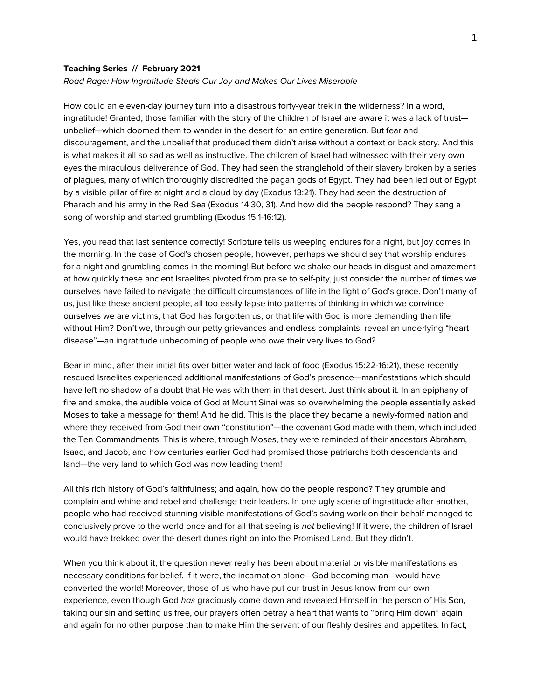#### **Teaching Series // February 2021**

#### *Road Rage: How Ingratitude Steals Our Joy and Makes Our Lives Miserable*

How could an eleven-day journey turn into a disastrous forty-year trek in the wilderness? In a word, ingratitude! Granted, those familiar with the story of the children of Israel are aware it was a lack of trust unbelief—which doomed them to wander in the desert for an entire generation. But fear and discouragement, and the unbelief that produced them didn't arise without a context or back story. And this is what makes it all so sad as well as instructive. The children of Israel had witnessed with their very own eyes the miraculous deliverance of God. They had seen the stranglehold of their slavery broken by a series of plagues, many of which thoroughly discredited the pagan gods of Egypt. They had been led out of Egypt by a visible pillar of fire at night and a cloud by day (Exodus 13:21). They had seen the destruction of Pharaoh and his army in the Red Sea (Exodus 14:30, 31). And how did the people respond? They sang a song of worship and started grumbling (Exodus 15:1-16:12).

Yes, you read that last sentence correctly! Scripture tells us weeping endures for a night, but joy comes in the morning. In the case of God's chosen people, however, perhaps we should say that worship endures for a night and grumbling comes in the morning! But before we shake our heads in disgust and amazement at how quickly these ancient Israelites pivoted from praise to self-pity, just consider the number of times we ourselves have failed to navigate the difficult circumstances of life in the light of God's grace. Don't many of us, just like these ancient people, all too easily lapse into patterns of thinking in which we convince ourselves we are victims, that God has forgotten us, or that life with God is more demanding than life without Him? Don't we, through our petty grievances and endless complaints, reveal an underlying "heart disease"—an ingratitude unbecoming of people who owe their very lives to God?

Bear in mind, after their initial fits over bitter water and lack of food (Exodus 15:22-16:21), these recently rescued Israelites experienced additional manifestations of God's presence—manifestations which should have left no shadow of a doubt that He was with them in that desert. Just think about it. In an epiphany of fire and smoke, the audible voice of God at Mount Sinai was so overwhelming the people essentially asked Moses to take a message for them! And he did. This is the place they became a newly-formed nation and where they received from God their own "constitution"—the covenant God made with them, which included the Ten Commandments. This is where, through Moses, they were reminded of their ancestors Abraham, Isaac, and Jacob, and how centuries earlier God had promised those patriarchs both descendants and land—the very land to which God was now leading them!

All this rich history of God's faithfulness; and again, how do the people respond? They grumble and complain and whine and rebel and challenge their leaders. In one ugly scene of ingratitude after another, people who had received stunning visible manifestations of God's saving work on their behalf managed to conclusively prove to the world once and for all that seeing is *not* believing! If it were, the children of Israel would have trekked over the desert dunes right on into the Promised Land. But they didn't.

When you think about it, the question never really has been about material or visible manifestations as necessary conditions for belief. If it were, the incarnation alone—God becoming man—would have converted the world! Moreover, those of us who have put our trust in Jesus know from our own experience, even though God *has* graciously come down and revealed Himself in the person of His Son, taking our sin and setting us free, our prayers often betray a heart that wants to "bring Him down" again and again for no other purpose than to make Him the servant of our fleshly desires and appetites. In fact,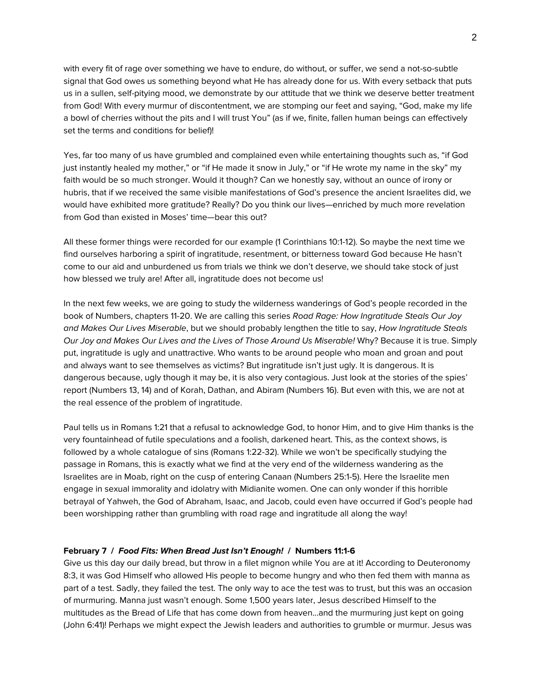with every fit of rage over something we have to endure, do without, or suffer, we send a not-so-subtle signal that God owes us something beyond what He has already done for us. With every setback that puts us in a sullen, self-pitying mood, we demonstrate by our attitude that we think we deserve better treatment from God! With every murmur of discontentment, we are stomping our feet and saying, "God, make my life a bowl of cherries without the pits and I will trust You" (as if we, finite, fallen human beings can effectively set the terms and conditions for belief)!

Yes, far too many of us have grumbled and complained even while entertaining thoughts such as, "if God just instantly healed my mother," or "if He made it snow in July," or "if He wrote my name in the sky" my faith would be so much stronger. Would it though? Can we honestly say, without an ounce of irony or hubris, that if we received the same visible manifestations of God's presence the ancient Israelites did, we would have exhibited more gratitude? Really? Do you think our lives—enriched by much more revelation from God than existed in Moses' time—bear this out?

All these former things were recorded for our example (1 Corinthians 10:1-12). So maybe the next time we find ourselves harboring a spirit of ingratitude, resentment, or bitterness toward God because He hasn't come to our aid and unburdened us from trials we think we don't deserve, we should take stock of just how blessed we truly are! After all, ingratitude does not become us!

In the next few weeks, we are going to study the wilderness wanderings of God's people recorded in the book of Numbers, chapters 11-20. We are calling this series *Road Rage: How Ingratitude Steals Our Joy and Makes Our Lives Miserable*, but we should probably lengthen the title to say, *How Ingratitude Steals Our Joy and Makes Our Lives and the Lives of Those Around Us Miserable!* Why? Because it is true. Simply put, ingratitude is ugly and unattractive. Who wants to be around people who moan and groan and pout and always want to see themselves as victims? But ingratitude isn't just ugly. It is dangerous. It is dangerous because, ugly though it may be, it is also very contagious. Just look at the stories of the spies' report (Numbers 13, 14) and of Korah, Dathan, and Abiram (Numbers 16). But even with this, we are not at the real essence of the problem of ingratitude.

Paul tells us in Romans 1:21 that a refusal to acknowledge God, to honor Him, and to give Him thanks is the very fountainhead of futile speculations and a foolish, darkened heart. This, as the context shows, is followed by a whole catalogue of sins (Romans 1:22-32). While we won't be specifically studying the passage in Romans, this is exactly what we find at the very end of the wilderness wandering as the Israelites are in Moab, right on the cusp of entering Canaan (Numbers 25:1-5). Here the Israelite men engage in sexual immorality and idolatry with Midianite women. One can only wonder if this horrible betrayal of Yahweh, the God of Abraham, Isaac, and Jacob, could even have occurred if God's people had been worshipping rather than grumbling with road rage and ingratitude all along the way!

## **February 7 /** *Food Fits: When Bread Just Isn't Enough!* **/ Numbers 11:1-6**

Give us this day our daily bread, but throw in a filet mignon while You are at it! According to Deuteronomy 8:3, it was God Himself who allowed His people to become hungry and who then fed them with manna as part of a test. Sadly, they failed the test. The only way to ace the test was to trust, but this was an occasion of murmuring. Manna just wasn't enough. Some 1,500 years later, Jesus described Himself to the multitudes as the Bread of Life that has come down from heaven...and the murmuring just kept on going (John 6:41)! Perhaps we might expect the Jewish leaders and authorities to grumble or murmur. Jesus was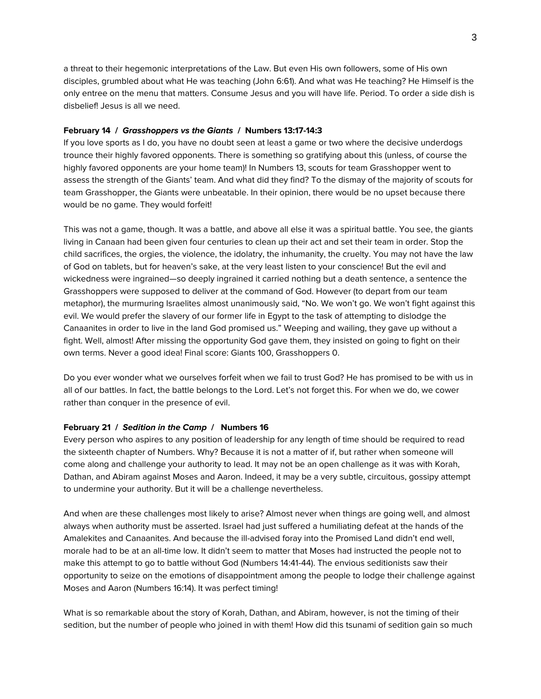a threat to their hegemonic interpretations of the Law. But even His own followers, some of His own disciples, grumbled about what He was teaching (John 6:61). And what was He teaching? He Himself is the only entree on the menu that matters. Consume Jesus and you will have life. Period. To order a side dish is disbelief! Jesus is all we need.

# **February 14 /** *Grasshoppers vs the Giants* **/ Numbers 13:17-14:3**

If you love sports as I do, you have no doubt seen at least a game or two where the decisive underdogs trounce their highly favored opponents. There is something so gratifying about this (unless, of course the highly favored opponents are your home team)! In Numbers 13, scouts for team Grasshopper went to assess the strength of the Giants' team. And what did they find? To the dismay of the majority of scouts for team Grasshopper, the Giants were unbeatable. In their opinion, there would be no upset because there would be no game. They would forfeit!

This was not a game, though. It was a battle, and above all else it was a spiritual battle. You see, the giants living in Canaan had been given four centuries to clean up their act and set their team in order. Stop the child sacrifices, the orgies, the violence, the idolatry, the inhumanity, the cruelty. You may not have the law of God on tablets, but for heaven's sake, at the very least listen to your conscience! But the evil and wickedness were ingrained—so deeply ingrained it carried nothing but a death sentence, a sentence the Grasshoppers were supposed to deliver at the command of God. However (to depart from our team metaphor), the murmuring Israelites almost unanimously said, "No. We won't go. We won't fight against this evil. We would prefer the slavery of our former life in Egypt to the task of attempting to dislodge the Canaanites in order to live in the land God promised us." Weeping and wailing, they gave up without a fight. Well, almost! After missing the opportunity God gave them, they insisted on going to fight on their own terms. Never a good idea! Final score: Giants 100, Grasshoppers 0.

Do you ever wonder what we ourselves forfeit when we fail to trust God? He has promised to be with us in all of our battles. In fact, the battle belongs to the Lord. Let's not forget this. For when we do, we cower rather than conquer in the presence of evil.

# **February 21 /** *Sedition in the Camp* **/ Numbers 16**

Every person who aspires to any position of leadership for any length of time should be required to read the sixteenth chapter of Numbers. Why? Because it is not a matter of if, but rather when someone will come along and challenge your authority to lead. It may not be an open challenge as it was with Korah, Dathan, and Abiram against Moses and Aaron. Indeed, it may be a very subtle, circuitous, gossipy attempt to undermine your authority. But it will be a challenge nevertheless.

And when are these challenges most likely to arise? Almost never when things are going well, and almost always when authority must be asserted. Israel had just suffered a humiliating defeat at the hands of the Amalekites and Canaanites. And because the ill-advised foray into the Promised Land didn't end well, morale had to be at an all-time low. It didn't seem to matter that Moses had instructed the people not to make this attempt to go to battle without God (Numbers 14:41-44). The envious seditionists saw their opportunity to seize on the emotions of disappointment among the people to lodge their challenge against Moses and Aaron (Numbers 16:14). It was perfect timing!

What is so remarkable about the story of Korah, Dathan, and Abiram, however, is not the timing of their sedition, but the number of people who joined in with them! How did this tsunami of sedition gain so much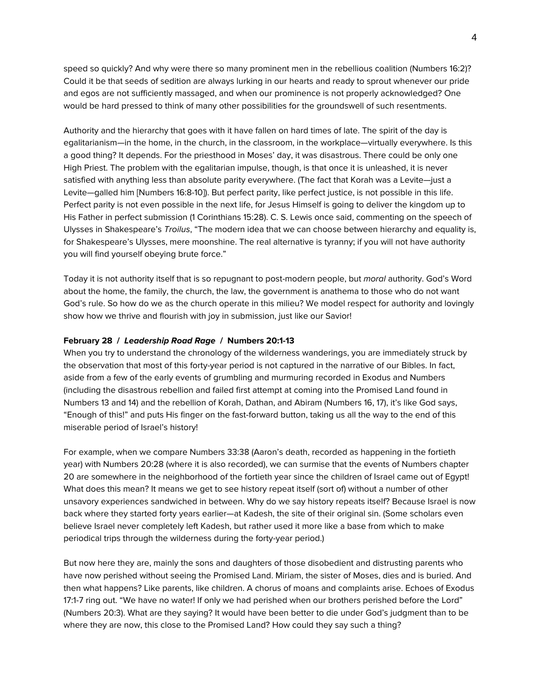speed so quickly? And why were there so many prominent men in the rebellious coalition (Numbers 16:2)? Could it be that seeds of sedition are always lurking in our hearts and ready to sprout whenever our pride and egos are not sufficiently massaged, and when our prominence is not properly acknowledged? One would be hard pressed to think of many other possibilities for the groundswell of such resentments.

Authority and the hierarchy that goes with it have fallen on hard times of late. The spirit of the day is egalitarianism—in the home, in the church, in the classroom, in the workplace—virtually everywhere. Is this a good thing? It depends. For the priesthood in Moses' day, it was disastrous. There could be only one High Priest. The problem with the egalitarian impulse, though, is that once it is unleashed, it is never satisfied with anything less than absolute parity everywhere. (The fact that Korah was a Levite—just a Levite—galled him [Numbers 16:8-10]). But perfect parity, like perfect justice, is not possible in this life. Perfect parity is not even possible in the next life, for Jesus Himself is going to deliver the kingdom up to His Father in perfect submission (1 Corinthians 15:28). C. S. Lewis once said, commenting on the speech of Ulysses in Shakespeare's *Troilus*, "The modern idea that we can choose between hierarchy and equality is, for Shakespeare's Ulysses, mere moonshine. The real alternative is tyranny; if you will not have authority you will find yourself obeying brute force."

Today it is not authority itself that is so repugnant to post-modern people, but *moral* authority. God's Word about the home, the family, the church, the law, the government is anathema to those who do not want God's rule. So how do we as the church operate in this milieu? We model respect for authority and lovingly show how we thrive and flourish with joy in submission, just like our Savior!

## **February 28 /** *Leadership Road Rage* **/ Numbers 20:1-13**

When you try to understand the chronology of the wilderness wanderings, you are immediately struck by the observation that most of this forty-year period is not captured in the narrative of our Bibles. In fact, aside from a few of the early events of grumbling and murmuring recorded in Exodus and Numbers (including the disastrous rebellion and failed first attempt at coming into the Promised Land found in Numbers 13 and 14) and the rebellion of Korah, Dathan, and Abiram (Numbers 16, 17), it's like God says, "Enough of this!" and puts His finger on the fast-forward button, taking us all the way to the end of this miserable period of Israel's history!

For example, when we compare Numbers 33:38 (Aaron's death, recorded as happening in the fortieth year) with Numbers 20:28 (where it is also recorded), we can surmise that the events of Numbers chapter 20 are somewhere in the neighborhood of the fortieth year since the children of Israel came out of Egypt! What does this mean? It means we get to see history repeat itself (sort of) without a number of other unsavory experiences sandwiched in between. Why do we say history repeats itself? Because Israel is now back where they started forty years earlier—at Kadesh, the site of their original sin. (Some scholars even believe Israel never completely left Kadesh, but rather used it more like a base from which to make periodical trips through the wilderness during the forty-year period.)

But now here they are, mainly the sons and daughters of those disobedient and distrusting parents who have now perished without seeing the Promised Land. Miriam, the sister of Moses, dies and is buried. And then what happens? Like parents, like children. A chorus of moans and complaints arise. Echoes of Exodus 17:1-7 ring out. "We have no water! If only we had perished when our brothers perished before the Lord" (Numbers 20:3). What are they saying? It would have been better to die under God's judgment than to be where they are now, this close to the Promised Land? How could they say such a thing?